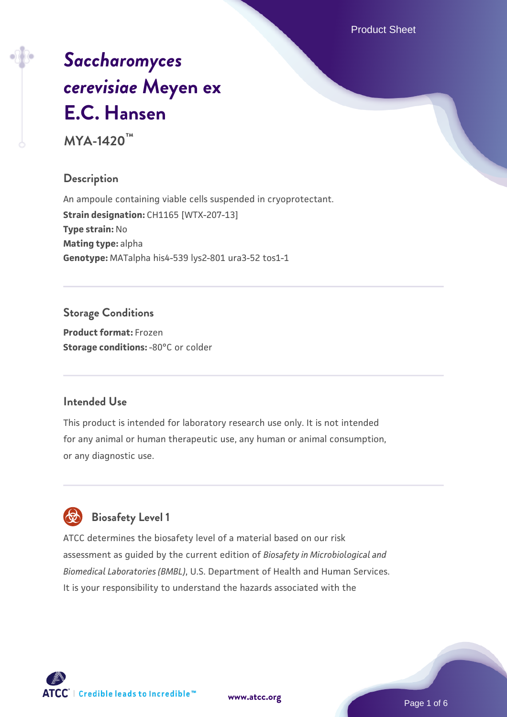Product Sheet

# *[Saccharomyces](https://www.atcc.org/products/mya-1420) [cerevisiae](https://www.atcc.org/products/mya-1420)* **[Meyen ex](https://www.atcc.org/products/mya-1420) [E.C. Hansen](https://www.atcc.org/products/mya-1420)**

**MYA-1420™**

# **Description**

An ampoule containing viable cells suspended in cryoprotectant. **Strain designation: CH1165 [WTX-207-13] Type strain:** No **Mating type:** alpha **Genotype:** MATalpha his4-539 lys2-801 ura3-52 tos1-1

# **Storage Conditions**

**Product format:** Frozen **Storage conditions: -80°C or colder** 

# **Intended Use**

This product is intended for laboratory research use only. It is not intended for any animal or human therapeutic use, any human or animal consumption, or any diagnostic use.

# **Biosafety Level 1**

ATCC determines the biosafety level of a material based on our risk assessment as guided by the current edition of *Biosafety in Microbiological and Biomedical Laboratories (BMBL)*, U.S. Department of Health and Human Services. It is your responsibility to understand the hazards associated with the

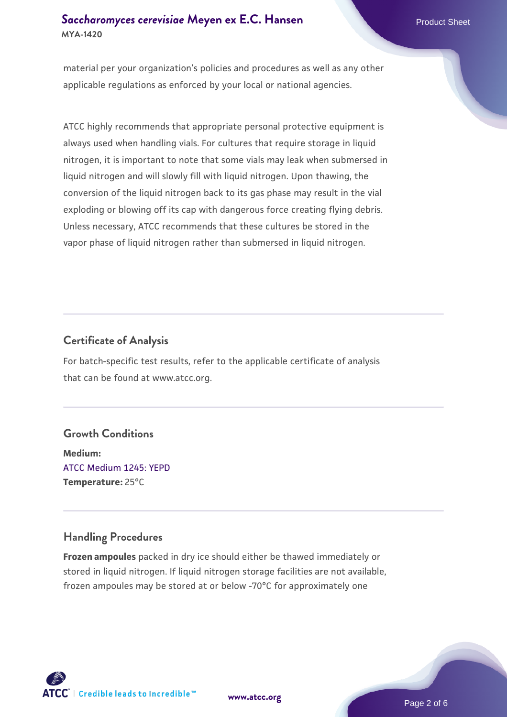#### **[Saccharomyces cerevisiae](https://www.atcc.org/products/mya-1420)** [Meyen ex E.C. Hansen](https://www.atcc.org/products/mya-1420) **MYA-1420**

material per your organization's policies and procedures as well as any other applicable regulations as enforced by your local or national agencies.

ATCC highly recommends that appropriate personal protective equipment is always used when handling vials. For cultures that require storage in liquid nitrogen, it is important to note that some vials may leak when submersed in liquid nitrogen and will slowly fill with liquid nitrogen. Upon thawing, the conversion of the liquid nitrogen back to its gas phase may result in the vial exploding or blowing off its cap with dangerous force creating flying debris. Unless necessary, ATCC recommends that these cultures be stored in the vapor phase of liquid nitrogen rather than submersed in liquid nitrogen.

# **Certificate of Analysis**

For batch-specific test results, refer to the applicable certificate of analysis that can be found at www.atcc.org.

# **Growth Conditions**

**Medium:**  [ATCC Medium 1245: YEPD](https://www.atcc.org/-/media/product-assets/documents/microbial-media-formulations/1/2/4/5/atcc-medium-1245.pdf?rev=705ca55d1b6f490a808a965d5c072196) **Temperature:** 25°C

# **Handling Procedures**

**Frozen ampoules** packed in dry ice should either be thawed immediately or stored in liquid nitrogen. If liquid nitrogen storage facilities are not available, frozen ampoules may be stored at or below -70°C for approximately one



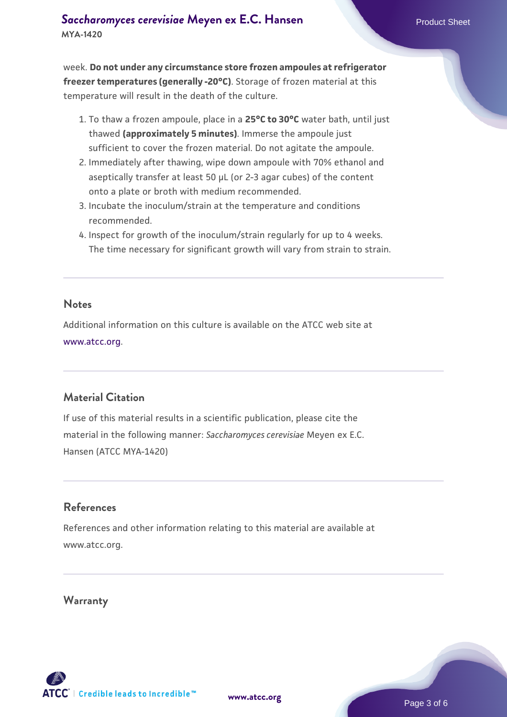week. **Do not under any circumstance store frozen ampoules at refrigerator freezer temperatures (generally -20°C)**. Storage of frozen material at this temperature will result in the death of the culture.

- 1. To thaw a frozen ampoule, place in a **25°C to 30°C** water bath, until just thawed **(approximately 5 minutes)**. Immerse the ampoule just sufficient to cover the frozen material. Do not agitate the ampoule.
- 2. Immediately after thawing, wipe down ampoule with 70% ethanol and aseptically transfer at least 50 µL (or 2-3 agar cubes) of the content onto a plate or broth with medium recommended.
- Incubate the inoculum/strain at the temperature and conditions 3. recommended.
- 4. Inspect for growth of the inoculum/strain regularly for up to 4 weeks. The time necessary for significant growth will vary from strain to strain.

#### **Notes**

Additional information on this culture is available on the ATCC web site at [www.atcc.org.](http://www.atcc.org/)

# **Material Citation**

If use of this material results in a scientific publication, please cite the material in the following manner: *Saccharomyces cerevisiae* Meyen ex E.C. Hansen (ATCC MYA-1420)

#### **References**

References and other information relating to this material are available at www.atcc.org.

#### **Warranty**

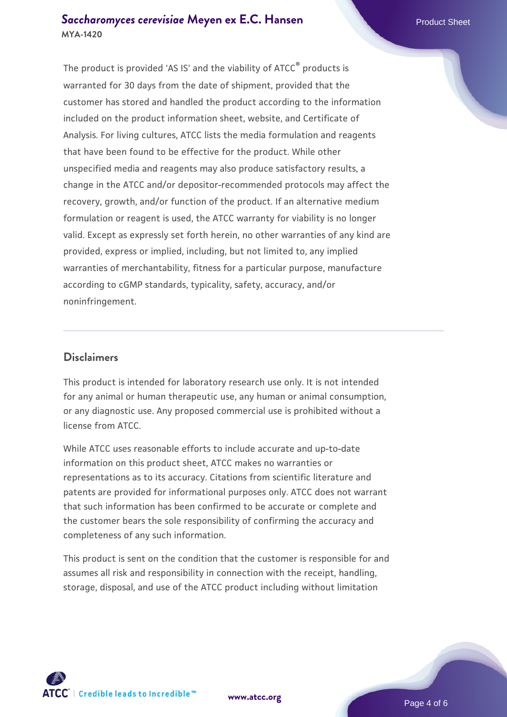#### **[Saccharomyces cerevisiae](https://www.atcc.org/products/mya-1420)** [Meyen ex E.C. Hansen](https://www.atcc.org/products/mya-1420) **MYA-1420**

The product is provided 'AS IS' and the viability of ATCC® products is warranted for 30 days from the date of shipment, provided that the customer has stored and handled the product according to the information included on the product information sheet, website, and Certificate of Analysis. For living cultures, ATCC lists the media formulation and reagents that have been found to be effective for the product. While other unspecified media and reagents may also produce satisfactory results, a change in the ATCC and/or depositor-recommended protocols may affect the recovery, growth, and/or function of the product. If an alternative medium formulation or reagent is used, the ATCC warranty for viability is no longer valid. Except as expressly set forth herein, no other warranties of any kind are provided, express or implied, including, but not limited to, any implied warranties of merchantability, fitness for a particular purpose, manufacture according to cGMP standards, typicality, safety, accuracy, and/or noninfringement.

#### **Disclaimers**

This product is intended for laboratory research use only. It is not intended for any animal or human therapeutic use, any human or animal consumption, or any diagnostic use. Any proposed commercial use is prohibited without a license from ATCC.

While ATCC uses reasonable efforts to include accurate and up-to-date information on this product sheet, ATCC makes no warranties or representations as to its accuracy. Citations from scientific literature and patents are provided for informational purposes only. ATCC does not warrant that such information has been confirmed to be accurate or complete and the customer bears the sole responsibility of confirming the accuracy and completeness of any such information.

This product is sent on the condition that the customer is responsible for and assumes all risk and responsibility in connection with the receipt, handling, storage, disposal, and use of the ATCC product including without limitation



**[www.atcc.org](http://www.atcc.org)**

Page 4 of 6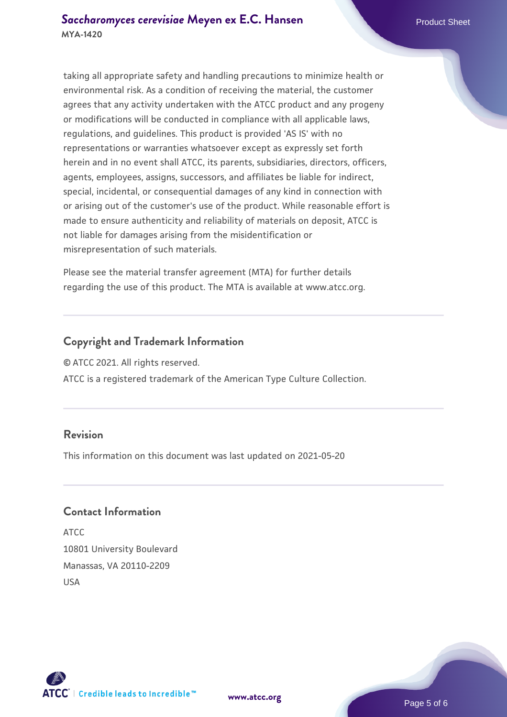taking all appropriate safety and handling precautions to minimize health or environmental risk. As a condition of receiving the material, the customer agrees that any activity undertaken with the ATCC product and any progeny or modifications will be conducted in compliance with all applicable laws, regulations, and guidelines. This product is provided 'AS IS' with no representations or warranties whatsoever except as expressly set forth herein and in no event shall ATCC, its parents, subsidiaries, directors, officers, agents, employees, assigns, successors, and affiliates be liable for indirect, special, incidental, or consequential damages of any kind in connection with or arising out of the customer's use of the product. While reasonable effort is made to ensure authenticity and reliability of materials on deposit, ATCC is not liable for damages arising from the misidentification or misrepresentation of such materials.

Please see the material transfer agreement (MTA) for further details regarding the use of this product. The MTA is available at www.atcc.org.

#### **Copyright and Trademark Information**

© ATCC 2021. All rights reserved.

ATCC is a registered trademark of the American Type Culture Collection.

#### **Revision**

This information on this document was last updated on 2021-05-20

#### **Contact Information**

ATCC 10801 University Boulevard Manassas, VA 20110-2209 USA